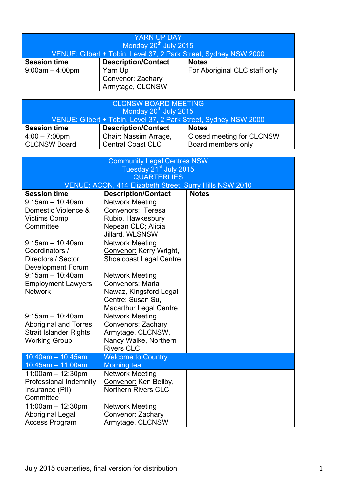| <b>YARN UP DAY</b>                                               |                            |                               |
|------------------------------------------------------------------|----------------------------|-------------------------------|
| Monday 20 <sup>th</sup> July 2015                                |                            |                               |
| VENUE: Gilbert + Tobin, Level 37, 2 Park Street, Sydney NSW 2000 |                            |                               |
| <b>Session time</b>                                              | <b>Description/Contact</b> | <b>Notes</b>                  |
| $9:00am - 4:00pm$                                                | Yarn Up                    | For Aboriginal CLC staff only |
|                                                                  | Convenor: Zachary          |                               |
|                                                                  | Armytage, CLCNSW           |                               |

|                                                                  | Armytage, CLCNSW           |                           |
|------------------------------------------------------------------|----------------------------|---------------------------|
|                                                                  |                            |                           |
| <b>CLCNSW BOARD MEETING</b>                                      |                            |                           |
| Monday 20 <sup>th</sup> July 2015                                |                            |                           |
| VENUE: Gilbert + Tobin, Level 37, 2 Park Street, Sydney NSW 2000 |                            |                           |
| <b>Session time</b>                                              | <b>Description/Contact</b> | <b>Notes</b>              |
| $4:00 - 7:00 \text{pm}$                                          | Chair: Nassim Arrage,      | Closed meeting for CLCNSW |
| <b>CLCNSW Board</b>                                              | <b>Central Coast CLC</b>   | Board members only        |

| <b>Community Legal Centres NSW</b><br>Tuesday 21 <sup>st</sup> July 2015<br><b>QUARTERLIES</b>               |                                                                                                                                   |              |  |
|--------------------------------------------------------------------------------------------------------------|-----------------------------------------------------------------------------------------------------------------------------------|--------------|--|
| VENUE: ACON, 414 Elizabeth Street, Surry Hills NSW 2010                                                      |                                                                                                                                   |              |  |
| <b>Session time</b>                                                                                          | <b>Description/Contact</b>                                                                                                        | <b>Notes</b> |  |
| $9:15am - 10:40am$<br>Domestic Violence &<br><b>Victims Comp</b><br>Committee                                | <b>Network Meeting</b><br>Convenors: Teresa<br>Rubio, Hawkesbury<br>Nepean CLC; Alicia<br>Jillard, WLSNSW                         |              |  |
| $9:15am - 10:40am$<br>Coordinators /<br>Directors / Sector<br><b>Development Forum</b>                       | <b>Network Meeting</b><br>Convenor: Kerry Wright,<br><b>Shoalcoast Legal Centre</b>                                               |              |  |
| $9:15$ am $-10:40$ am<br><b>Employment Lawyers</b><br><b>Network</b>                                         | <b>Network Meeting</b><br><b>Convenors: Maria</b><br>Nawaz, Kingsford Legal<br>Centre; Susan Su,<br><b>Macarthur Legal Centre</b> |              |  |
| $9:15$ am - 10:40am<br><b>Aboriginal and Torres</b><br><b>Strait Islander Rights</b><br><b>Working Group</b> | <b>Network Meeting</b><br>Convenors: Zachary<br>Armytage, CLCNSW,<br>Nancy Walke, Northern<br><b>Rivers CLC</b>                   |              |  |
| $10:40$ am - 10:45am                                                                                         | <b>Welcome to Country</b>                                                                                                         |              |  |
| 10:45am - 11:00am                                                                                            | <b>Morning tea</b>                                                                                                                |              |  |
| $11:00am - 12:30pm$<br>Professional Indemnity<br>Insurance (PII)<br>Committee                                | <b>Network Meeting</b><br>Convenor: Ken Beilby,<br><b>Northern Rivers CLC</b>                                                     |              |  |
| $11:00am - 12:30pm$<br><b>Aboriginal Legal</b><br><b>Access Program</b>                                      | <b>Network Meeting</b><br>Convenor: Zachary<br>Armytage, CLCNSW                                                                   |              |  |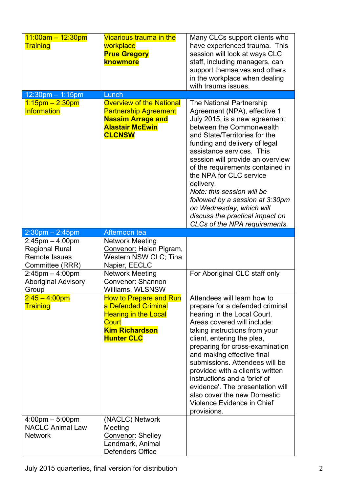| $11:00am - 12:30pm$<br><b>Training</b>                                                                           | Vicarious trauma in the<br>workplace<br><b>Prue Gregory</b><br>knowmore                                                                | Many CLCs support clients who<br>have experienced trauma. This<br>session will look at ways CLC<br>staff, including managers, can<br>support themselves and others<br>in the workplace when dealing<br>with trauma issues.                                                                                                                                                                                                                                                                                   |
|------------------------------------------------------------------------------------------------------------------|----------------------------------------------------------------------------------------------------------------------------------------|--------------------------------------------------------------------------------------------------------------------------------------------------------------------------------------------------------------------------------------------------------------------------------------------------------------------------------------------------------------------------------------------------------------------------------------------------------------------------------------------------------------|
| 12:30pm - 1:15pm                                                                                                 | Lunch                                                                                                                                  |                                                                                                                                                                                                                                                                                                                                                                                                                                                                                                              |
| $1.15$ pm $- 2.30$ pm<br><b>Information</b>                                                                      | <b>Overview of the National</b><br><b>Partnership Agreement</b><br><b>Nassim Arrage and</b><br><b>Alastair McEwin</b><br><b>CLCNSW</b> | <b>The National Partnership</b><br>Agreement (NPA), effective 1<br>July 2015, is a new agreement<br>between the Commonwealth<br>and State/Territories for the<br>funding and delivery of legal<br>assistance services. This<br>session will provide an overview<br>of the requirements contained in<br>the NPA for CLC service<br>delivery.<br>Note: this session will be<br>followed by a session at 3.30pm<br>on Wednesday, which will<br>discuss the practical impact on<br>CLCs of the NPA requirements. |
| $2:30$ pm $- 2:45$ pm                                                                                            | Afternoon tea                                                                                                                          |                                                                                                                                                                                                                                                                                                                                                                                                                                                                                                              |
| $2:45$ pm $-4:00$ pm<br><b>Regional Rural</b><br><b>Remote Issues</b><br>Committee (RRR)<br>$2:45$ pm $-4:00$ pm | <b>Network Meeting</b><br>Convenor: Helen Pigram,<br>Western NSW CLC; Tina<br>Napier, EECLC<br><b>Network Meeting</b>                  | For Aboriginal CLC staff only                                                                                                                                                                                                                                                                                                                                                                                                                                                                                |
| <b>Aboriginal Advisory</b><br>Group                                                                              | Convenor: Shannon<br>Williams, WLSNSW                                                                                                  |                                                                                                                                                                                                                                                                                                                                                                                                                                                                                                              |
| $2:45 - 4:00$ pm<br><b>Training</b>                                                                              | How to Prepare and Run<br>a Defended Criminal<br><b>Hearing in the Local</b><br>Court<br><b>Kim Richardson</b><br><b>Hunter CLC</b>    | Attendees will learn how to<br>prepare for a defended criminal<br>hearing in the Local Court.<br>Areas covered will include:<br>taking instructions from your<br>client, entering the plea,<br>preparing for cross-examination<br>and making effective final<br>submissions. Attendees will be<br>provided with a client's written<br>instructions and a 'brief of<br>evidence'. The presentation will<br>also cover the new Domestic<br>Violence Evidence in Chief<br>provisions.                           |
| $4:00 \text{pm} - 5:00 \text{pm}$<br><b>NACLC Animal Law</b><br><b>Network</b>                                   | (NACLC) Network<br>Meeting<br>Convenor: Shelley<br>Landmark, Animal                                                                    |                                                                                                                                                                                                                                                                                                                                                                                                                                                                                                              |
|                                                                                                                  | Defenders Office                                                                                                                       |                                                                                                                                                                                                                                                                                                                                                                                                                                                                                                              |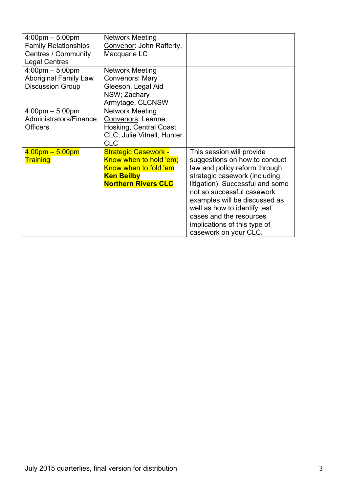| $4:00 \text{pm} - 5:00 \text{pm}$ | <b>Network Meeting</b>      |                                  |
|-----------------------------------|-----------------------------|----------------------------------|
| <b>Family Relationships</b>       | Convenor: John Rafferty,    |                                  |
| <b>Centres / Community</b>        | Macquarie LC                |                                  |
| <b>Legal Centres</b>              |                             |                                  |
| $4:00 \text{pm} - 5:00 \text{pm}$ | <b>Network Meeting</b>      |                                  |
| <b>Aboriginal Family Law</b>      | Convenors: Mary             |                                  |
| <b>Discussion Group</b>           | Gleeson, Legal Aid          |                                  |
|                                   | NSW; Zachary                |                                  |
|                                   | Armytage, CLCNSW            |                                  |
| $4:00 \text{pm} - 5:00 \text{pm}$ | <b>Network Meeting</b>      |                                  |
| Administrators/Finance            | <b>Convenors: Leanne</b>    |                                  |
| <b>Officers</b>                   | Hosking, Central Coast      |                                  |
|                                   | CLC; Julie Vitnell, Hunter  |                                  |
|                                   | <b>CLC</b>                  |                                  |
| $4:00 \text{pm} - 5:00 \text{pm}$ | <b>Strategic Casework -</b> | This session will provide        |
| <b>Training</b>                   | Know when to hold 'em;      | suggestions on how to conduct    |
|                                   | Know when to fold 'em       | law and policy reform through    |
|                                   | <b>Ken Beilby</b>           | strategic casework (including    |
|                                   | <b>Northern Rivers CLC</b>  | litigation). Successful and some |
|                                   |                             | not so successful casework       |
|                                   |                             | examples will be discussed as    |
|                                   |                             | well as how to identify test     |
|                                   |                             | cases and the resources          |
|                                   |                             | implications of this type of     |
|                                   |                             | casework on your CLC.            |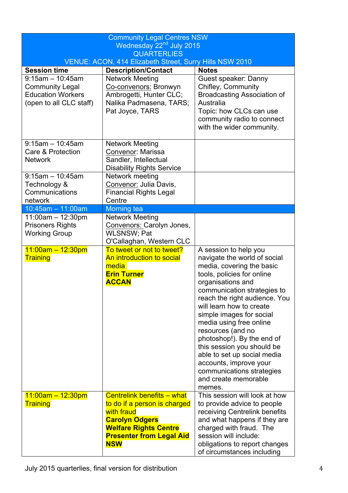| <b>Community Legal Centres NSW</b><br>Wednesday 22 <sup>nd</sup> July 2015                          |                                                                                                                                                                                           |                                                                                                                                                                                                                                                                                                                                                                                                                                                                                                   |
|-----------------------------------------------------------------------------------------------------|-------------------------------------------------------------------------------------------------------------------------------------------------------------------------------------------|---------------------------------------------------------------------------------------------------------------------------------------------------------------------------------------------------------------------------------------------------------------------------------------------------------------------------------------------------------------------------------------------------------------------------------------------------------------------------------------------------|
| <b>QUARTERLIES</b>                                                                                  |                                                                                                                                                                                           |                                                                                                                                                                                                                                                                                                                                                                                                                                                                                                   |
|                                                                                                     | VENUE: ACON, 414 Elizabeth Street, Surry Hills NSW 2010                                                                                                                                   |                                                                                                                                                                                                                                                                                                                                                                                                                                                                                                   |
| <b>Session time</b>                                                                                 | <b>Description/Contact</b>                                                                                                                                                                | <b>Notes</b>                                                                                                                                                                                                                                                                                                                                                                                                                                                                                      |
| $9:15am - 10:45am$<br><b>Community Legal</b><br><b>Education Workers</b><br>(open to all CLC staff) | <b>Network Meeting</b><br>Co-convenors: Bronwyn<br>Ambrogetti, Hunter CLC;<br>Nalika Padmasena, TARS;<br>Pat Joyce, TARS                                                                  | Guest speaker: Danny<br>Chifley, Community<br><b>Broadcasting Association of</b><br>Australia<br>Topic: how CLCs can use<br>community radio to connect<br>with the wider community.                                                                                                                                                                                                                                                                                                               |
| $9:15$ am - 10:45am<br>Care & Protection<br><b>Network</b>                                          | <b>Network Meeting</b><br>Convenor: Marissa<br>Sandler, Intellectual<br><b>Disability Rights Service</b>                                                                                  |                                                                                                                                                                                                                                                                                                                                                                                                                                                                                                   |
| $9:15$ am - 10:45am<br>Technology &<br>Communications<br>network                                    | Network meeting<br>Convenor: Julia Davis,<br><b>Financial Rights Legal</b><br>Centre                                                                                                      |                                                                                                                                                                                                                                                                                                                                                                                                                                                                                                   |
| $10:45am - 11:00am$                                                                                 | Morning tea                                                                                                                                                                               |                                                                                                                                                                                                                                                                                                                                                                                                                                                                                                   |
| $11:00am - 12:30pm$<br><b>Prisoners Rights</b><br><b>Working Group</b>                              | <b>Network Meeting</b><br>Convenors: Carolyn Jones,<br>WLSNSW; Pat<br>O'Callaghan, Western CLC                                                                                            |                                                                                                                                                                                                                                                                                                                                                                                                                                                                                                   |
| $11:00am - 12:30pm$<br><b>Training</b>                                                              | To tweet or not to tweet?<br>An introduction to social<br>media<br><b>Erin Turner</b><br><b>ACCAN</b>                                                                                     | A session to help you<br>navigate the world of social<br>media, covering the basic<br>tools, policies for online<br>organisations and<br>communication strategies to<br>reach the right audience. You<br>will learn how to create<br>simple images for social<br>media using free online<br>resources (and no<br>photoshop!). By the end of<br>this session you should be<br>able to set up social media<br>accounts, improve your<br>communications strategies<br>and create memorable<br>memes. |
| $11:00am - 12:30pm$<br><b>Training</b>                                                              | <b>Centrelink benefits – what</b><br>to do if a person is charged<br>with fraud<br><b>Carolyn Odgers</b><br><b>Welfare Rights Centre</b><br><b>Presenter from Legal Aid</b><br><b>NSW</b> | This session will look at how<br>to provide advice to people<br>receiving Centrelink benefits<br>and what happens if they are<br>charged with fraud. The<br>session will include:<br>obligations to report changes<br>of circumstances including                                                                                                                                                                                                                                                  |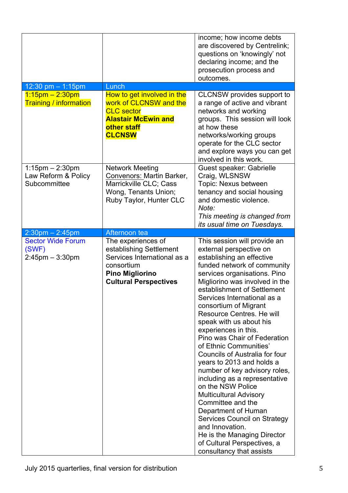|                                                             |                                                                                                                                                      | income; how income debts<br>are discovered by Centrelink;<br>questions on 'knowingly' not<br>declaring income; and the<br>prosecution process and<br>outcomes.                                                                                                                                                                                                                                                                                                                                                                                                                                                                                                                                                                                                                                                |
|-------------------------------------------------------------|------------------------------------------------------------------------------------------------------------------------------------------------------|---------------------------------------------------------------------------------------------------------------------------------------------------------------------------------------------------------------------------------------------------------------------------------------------------------------------------------------------------------------------------------------------------------------------------------------------------------------------------------------------------------------------------------------------------------------------------------------------------------------------------------------------------------------------------------------------------------------------------------------------------------------------------------------------------------------|
| 12:30 pm $-$ 1:15pm                                         | Lunch                                                                                                                                                |                                                                                                                                                                                                                                                                                                                                                                                                                                                                                                                                                                                                                                                                                                                                                                                                               |
| $1.15$ pm $- 2.30$ pm<br><b>Training / information</b>      | How to get involved in the<br>work of CLCNSW and the<br><b>CLC</b> sector<br><b>Alastair McEwin and</b><br>other staff<br><b>CLCNSW</b>              | CLCNSW provides support to<br>a range of active and vibrant<br>networks and working<br>groups. This session will look<br>at how these<br>networks/working groups<br>operate for the CLC sector<br>and explore ways you can get<br>involved in this work.                                                                                                                                                                                                                                                                                                                                                                                                                                                                                                                                                      |
| $1:15$ pm $-2:30$ pm<br>Law Reform & Policy<br>Subcommittee | <b>Network Meeting</b><br>Convenors: Martin Barker,<br>Marrickville CLC; Cass<br>Wong, Tenants Union;<br>Ruby Taylor, Hunter CLC                     | <b>Guest speaker: Gabrielle</b><br>Craig, WLSNSW<br>Topic: Nexus between<br>tenancy and social housing<br>and domestic violence.<br>Note:<br>This meeting is changed from<br>its usual time on Tuesdays.                                                                                                                                                                                                                                                                                                                                                                                                                                                                                                                                                                                                      |
| $2:30$ pm $- 2:45$ pm                                       | Afternoon tea                                                                                                                                        |                                                                                                                                                                                                                                                                                                                                                                                                                                                                                                                                                                                                                                                                                                                                                                                                               |
| <b>Sector Wide Forum</b><br>(SWF)<br>$2:45$ pm $-3:30$ pm   | The experiences of<br>establishing Settlement<br>Services International as a<br>consortium<br><b>Pino Migliorino</b><br><b>Cultural Perspectives</b> | This session will provide an<br>external perspective on<br>establishing an effective<br>funded network of community<br>services organisations. Pino<br>Migliorino was involved in the<br>establishment of Settlement<br>Services International as a<br>consortium of Migrant<br>Resource Centres. He will<br>speak with us about his<br>experiences in this.<br>Pino was Chair of Federation<br>of Ethnic Communities'<br><b>Councils of Australia for four</b><br>years to 2013 and holds a<br>number of key advisory roles,<br>including as a representative<br>on the NSW Police<br><b>Multicultural Advisory</b><br>Committee and the<br>Department of Human<br>Services Council on Strategy<br>and Innovation.<br>He is the Managing Director<br>of Cultural Perspectives, a<br>consultancy that assists |